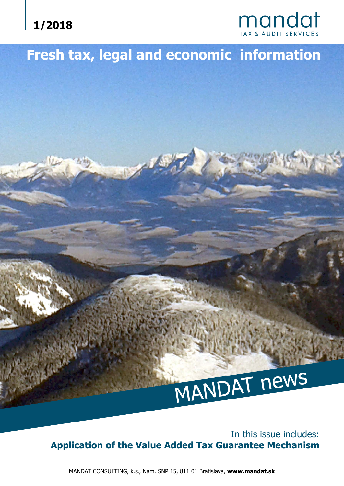# **1/2018**



# **Fresh tax, legal and economic information**

# MANDAT news

In this issue includes: **Application of the Value Added Tax Guarantee Mechanism**

MANDAT CONSULTING, k.s., Nám. SNP 15, 811 01 Bratislava, **www.mandat.sk**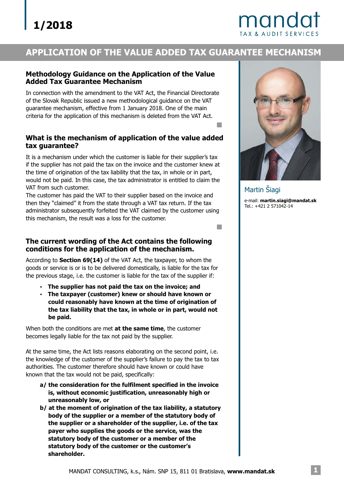# mando

### **APPLICATION OF THE VALUE ADDED TAX GUARANTEE MECHANISM**

#### **Methodology Guidance on the Application of the Value Added Tax Guarantee Mechanism**

In connection with the amendment to the VAT Act, the Financial Directorate of the Slovak Republic issued a new methodological guidance on the VAT guarantee mechanism, effective from 1 January 2018. One of the main criteria for the application of this mechanism is deleted from the VAT Act.

#### **What is the mechanism of application of the value added tax guarantee?**

It is a mechanism under which the customer is liable for their supplier's tax if the supplier has not paid the tax on the invoice and the customer knew at the time of origination of the tax liability that the tax, in whole or in part, would not be paid. In this case, the tax administrator is entitled to claim the VAT from such customer.

The customer has paid the VAT to their supplier based on the invoice and then they "claimed" it from the state through a VAT tax return. If the tax administrator subsequently forfeited the VAT claimed by the customer using this mechanism, the result was a loss for the customer.

#### **The current wording of the Act contains the following conditions for the application of the mechanism.**

According to **Section 69(14)** of the VAT Act, the taxpayer, to whom the goods or service is or is to be delivered domestically, is liable for the tax for the previous stage, i.e. the customer is liable for the tax of the supplier if:

- ? **The supplier has not paid the tax on the invoice; and**
- ? **The taxpayer (customer) knew or should have known or could reasonably have known at the time of origination of the tax liability that the tax, in whole or in part, would not be paid.**

When both the conditions are met **at the same time**, the customer becomes legally liable for the tax not paid by the supplier.

At the same time, the Act lists reasons elaborating on the second point, i.e. the knowledge of the customer of the supplier's failure to pay the tax to tax authorities. The customer therefore should have known or could have known that the tax would not be paid, specifically:

- **a/ the consideration for the fulfilment specified in the invoice is, without economic justification, unreasonably high or unreasonably low, or**
- **b/ at the moment of origination of the tax liability, a statutory body of the supplier or a member of the statutory body of the supplier or a shareholder of the supplier, i.e. of the tax payer who supplies the goods or the service, was the statutory body of the customer or a member of the statutory body of the customer or the customer's shareholder.**



e-mail: **martin.siagi@mandat.sk** Tel.: +421 2 571042-14 Martin Šiagi

m.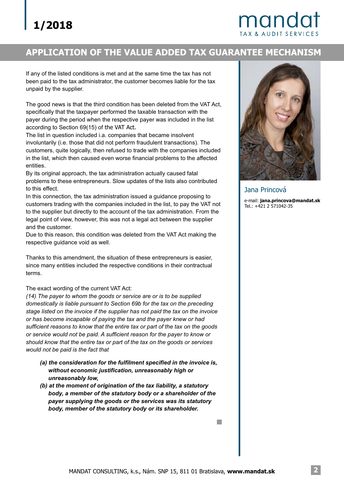# mandat

### **APPLICATION OF THE VALUE ADDED TAX GUARANTEE MECHANISM**

If any of the listed conditions is met and at the same time the tax has not been paid to the tax administrator, the customer becomes liable for the tax unpaid by the supplier.

The good news is that the third condition has been deleted from the VAT Act, specifically that the taxpayer performed the taxable transaction with the payer during the period when the respective payer was included in the list according to Section 69(15) of the VAT Act.

The list in question included i.a. companies that became insolvent involuntarily (i.e. those that did not perform fraudulent transactions). The customers, quite logically, then refused to trade with the companies included in the list, which then caused even worse financial problems to the affected entities.

By its original approach, the tax administration actually caused fatal problems to these entrepreneurs. Slow updates of the lists also contributed to this effect.

In this connection, the tax administration issued a guidance proposing to customers trading with the companies included in the list, to pay the VAT not to the supplier but directly to the account of the tax administration. From the legal point of view, however, this was not a legal act between the supplier and the customer.

Due to this reason, this condition was deleted from the VAT Act making the respective guidance void as well.

Thanks to this amendment, the situation of these entrepreneurs is easier, since many entities included the respective conditions in their contractual terms.

The exact wording of the current VAT Act:

*(14) The payer to whom the goods or service are or is to be supplied domestically is liable pursuant to Section 69b for the tax on the preceding stage listed on the invoice if the supplier has not paid the tax on the invoice or has become incapable of paying the tax and the payer knew or had sufficient reasons to know that the entire tax or part of the tax on the goods or service would not be paid. A sufficient reason for the payer to know or should know that the entire tax or part of the tax on the goods or services would not be paid is the fact that*

- *(a) the consideration for the fulfilment specified in the invoice is, without economic justification, unreasonably high or unreasonably low,*
- *(b) at the moment of origination of the tax liability, a statutory body, a member of the statutory body or a shareholder of the payer supplying the goods or the services was its statutory body, member of the statutory body or its shareholder.*



Jana Princová

e-mail: **jana.princova@mandat.sk** Tel.: +421 2 571042-35

 $\Box$